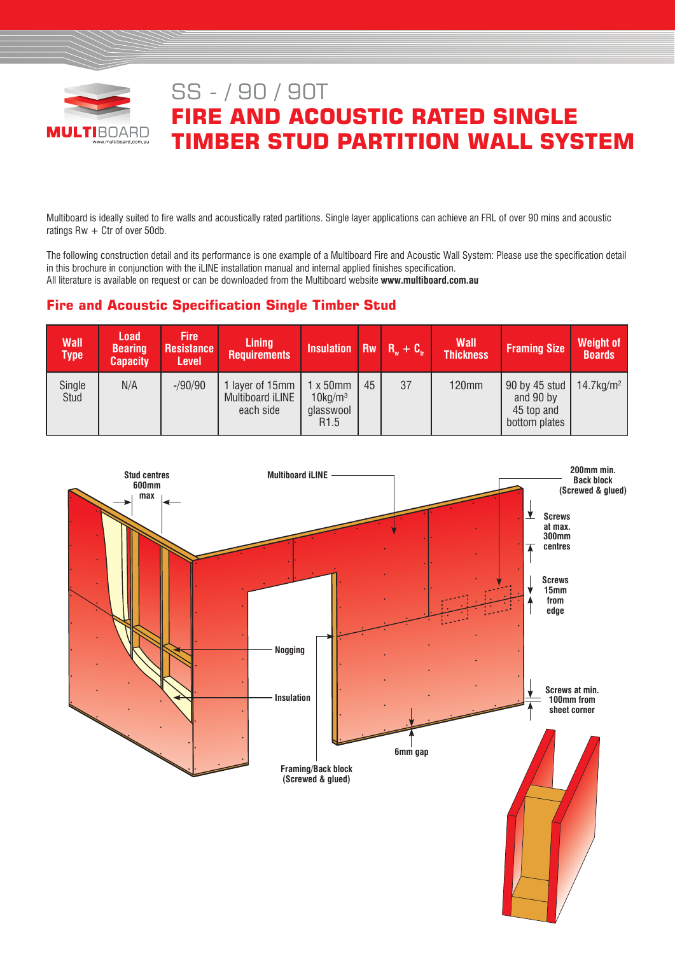

# SS - / 90 / 90T **FIRE AND ACOUSTIC RATED SINGLE TIMBER STUD PARTITION WALL SYSTEM**

Multiboard is ideally suited to fire walls and acoustically rated partitions. Single layer applications can achieve an FRL of over 90 mins and acoustic ratings  $Rw + Ctr$  of over 50db.

The following construction detail and its performance is one example of a Multiboard Fire and Acoustic Wall System: Please use the specification detail in this brochure in conjunction with the iLINE installation manual and internal applied finishes specification. All literature is available on request or can be downloaded from the Multiboard website **www.multiboard.com.au**

# **Fire and Acoustic Specification Single Timber Stud**

| <b>Wall</b><br>Type <b>1</b> | <b>Load</b><br><b>Bearing</b><br><b>Capacity</b> | <b>Fire</b><br><b>Resistance</b><br><b>Level</b> | <b>Lining</b><br><b>Requirements</b>             | Insulation Rw $R_w + C_w$                                                   |    |    | <b>Wall</b><br><b>Thickness</b> | <b>Framing Size</b>                                       | <b>Weight of</b><br><b>Boards</b> |
|------------------------------|--------------------------------------------------|--------------------------------------------------|--------------------------------------------------|-----------------------------------------------------------------------------|----|----|---------------------------------|-----------------------------------------------------------|-----------------------------------|
| Single<br>Stud               | N/A                                              | $-$ /90/90                                       | 1 layer of 15mm<br>Multiboard iLINE<br>each side | $1 \times 50$ mm<br>$10$ kg/m <sup>3</sup><br>glasswool<br>R <sub>1.5</sub> | 45 | 37 | <b>120mm</b>                    | 90 by 45 stud<br>and 90 by<br>45 top and<br>bottom plates | $14.7 \text{kg/m}^2$              |